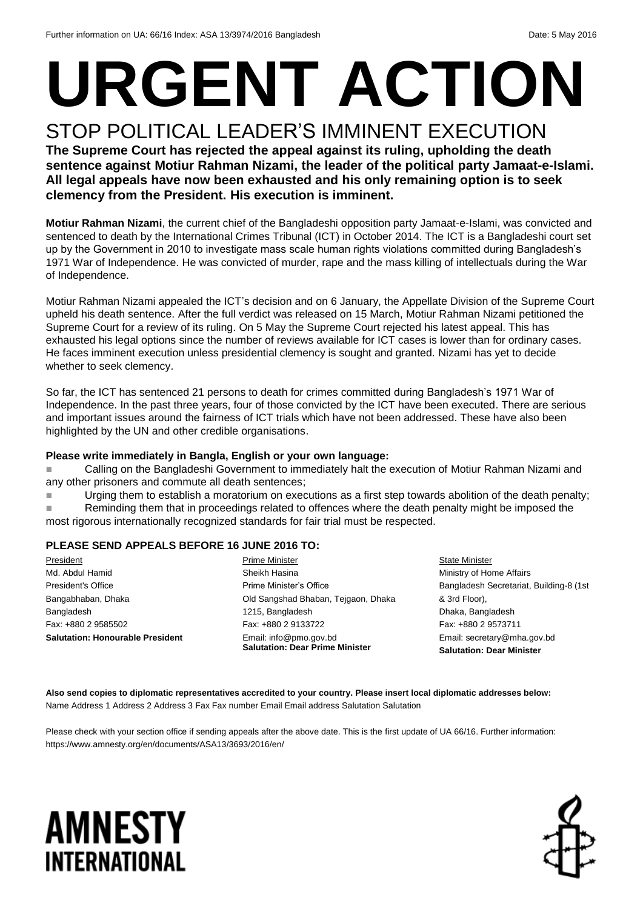## **URGENT ACTION** STOP POLITICAL LEADER'S IMMINENT EXECUTION

**The Supreme Court has rejected the appeal against its ruling, upholding the death sentence against Motiur Rahman Nizami, the leader of the political party Jamaat-e-Islami. All legal appeals have now been exhausted and his only remaining option is to seek clemency from the President. His execution is imminent.**

**Motiur Rahman Nizami**, the current chief of the Bangladeshi opposition party Jamaat-e-Islami, was convicted and sentenced to death by the International Crimes Tribunal (ICT) in October 2014. The ICT is a Bangladeshi court set up by the Government in 2010 to investigate mass scale human rights violations committed during Bangladesh's 1971 War of Independence. He was convicted of murder, rape and the mass killing of intellectuals during the War of Independence.

Motiur Rahman Nizami appealed the ICT's decision and on 6 January, the Appellate Division of the Supreme Court upheld his death sentence. After the full verdict was released on 15 March, Motiur Rahman Nizami petitioned the Supreme Court for a review of its ruling. On 5 May the Supreme Court rejected his latest appeal. This has exhausted his legal options since the number of reviews available for ICT cases is lower than for ordinary cases. He faces imminent execution unless presidential clemency is sought and granted. Nizami has yet to decide whether to seek clemency.

So far, the ICT has sentenced 21 persons to death for crimes committed during Bangladesh's 1971 War of Independence. In the past three years, four of those convicted by the ICT have been executed. There are serious and important issues around the fairness of ICT trials which have not been addressed. These have also been highlighted by the UN and other credible organisations.

#### **Please write immediately in Bangla, English or your own language:**

**Example 2** Calling on the Bangladeshi Government to immediately halt the execution of Motiur Rahman Nizami and any other prisoners and commute all death sentences;

■ Urging them to establish a moratorium on executions as a first step towards abolition of the death penalty;

**Reminding them that in proceedings related to offences where the death penalty might be imposed the** most rigorous internationally recognized standards for fair trial must be respected.

### **PLEASE SEND APPEALS BEFORE 16 JUNE 2016 TO:**

**President** Md. Abdul Hamid President's Office Bangabhaban, Dhaka Bangladesh Fax: +880 2 9585502 **Salutation: Honourable President**  Prime Minister Sheikh Hasina Prime Minister's Office Old Sangshad Bhaban, Tejgaon, Dhaka 1215, Bangladesh Fax: +880 2 9133722 Email: info@pmo.gov.bd **Salutation: Dear Prime Minister**

**State Minister** Ministry of Home Affairs Bangladesh Secretariat, Building-8 (1st & 3rd Floor), Dhaka, Bangladesh Fax: +880 2 9573711 Email: secretary@mha.gov.bd **Salutation: Dear Minister**

**Also send copies to diplomatic representatives accredited to your country. Please insert local diplomatic addresses below:** Name Address 1 Address 2 Address 3 Fax Fax number Email Email address Salutation Salutation

Please check with your section office if sending appeals after the above date. This is the first update of UA 66/16. Further information: https://www.amnesty.org/en/documents/ASA13/3693/2016/en/